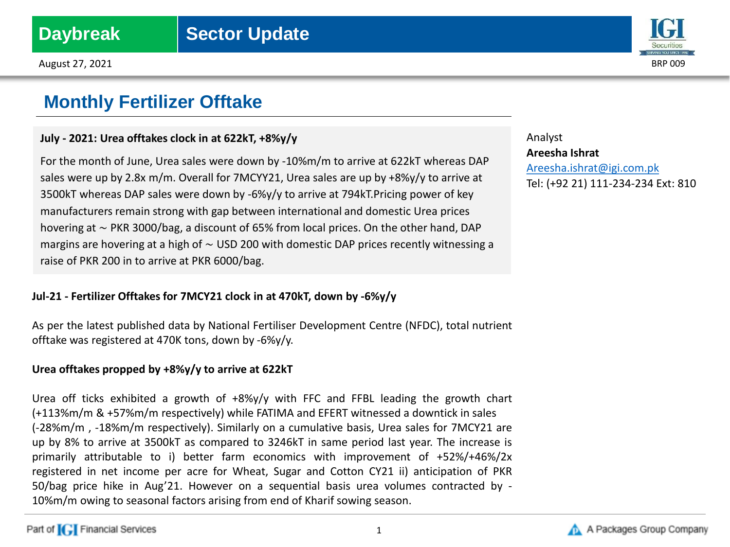August 27, 2021 BRP 009

## **Monthly Fertilizer Offtake**

## **July - 2021: Urea offtakes clock in at 622kT, +8%y/y**

For the month of June, Urea sales were down by -10%m/m to arrive at 622kT whereas DAP sales were up by 2.8x m/m. Overall for 7MCYY21, Urea sales are up by +8%y/y to arrive at 3500kT whereas DAP sales were down by -6%y/y to arrive at 794kT.Pricing power of key manufacturers remain strong with gap between international and domestic Urea prices hovering at ∼ PKR 3000/bag, a discount of 65% from local prices. On the other hand, DAP margins are hovering at a high of ∼ USD 200 with domestic DAP prices recently witnessing a raise of PKR 200 in to arrive at PKR 6000/bag.

## **Jul-21 - Fertilizer Offtakes for 7MCY21 clock in at 470kT, down by -6%y/y**

As per the latest published data by National Fertiliser Development Centre (NFDC), total nutrient offtake was registered at 470K tons, down by -6%y/y.

## **Urea offtakes propped by +8%y/y to arrive at 622kT**

Urea off ticks exhibited a growth of  $+8\%y/y$  with FFC and FFBL leading the growth chart (+113%m/m & +57%m/m respectively) while FATIMA and EFERT witnessed a downtick in sales (-28%m/m , -18%m/m respectively). Similarly on a cumulative basis, Urea sales for 7MCY21 are up by 8% to arrive at 3500kT as compared to 3246kT in same period last year. The increase is primarily attributable to i) better farm economics with improvement of +52%/+46%/2x registered in net income per acre for Wheat, Sugar and Cotton CY21 ii) anticipation of PKR 50/bag price hike in Aug'21. However on a sequential basis urea volumes contracted by - 10%m/m owing to seasonal factors arising from end of Kharif sowing season.



Analyst **Areesha Ishrat** [Areesha.ishrat@igi.com.pk](mailto:Shumail.rauf@igi.com.pk) Tel: (+92 21) 111-234-234 Ext: 810

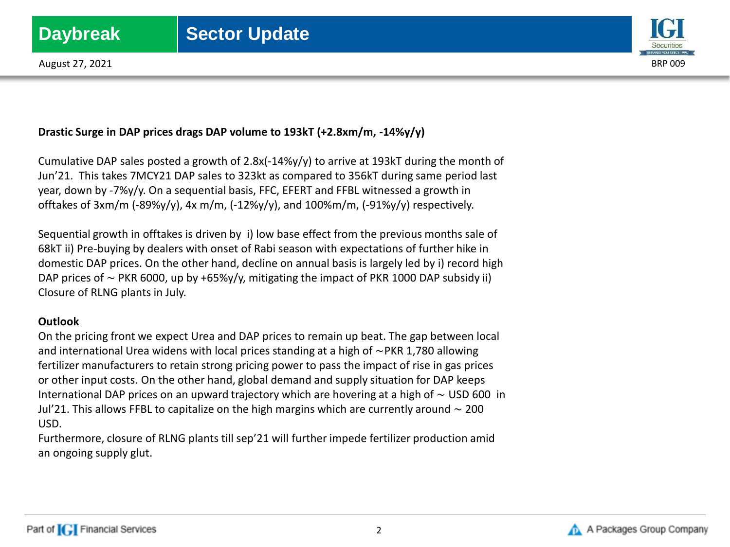August 27, 2021 BRP 009



## **Drastic Surge in DAP prices drags DAP volume to 193kT (+2.8xm/m, -14%y/y)**

Cumulative DAP sales posted a growth of  $2.8x(-14\%)$  to arrive at 193kT during the month of Jun'21. This takes 7MCY21 DAP sales to 323kt as compared to 356kT during same period last year, down by -7%y/y. On a sequential basis, FFC, EFERT and FFBL witnessed a growth in offtakes of  $3xm/m$  (-89%y/y),  $4x m/m$ , (-12%y/y), and  $100\%m/m$ , (-91%y/y) respectively.

Sequential growth in offtakes is driven by i) low base effect from the previous months sale of 68kT ii) Pre-buying by dealers with onset of Rabi season with expectations of further hike in domestic DAP prices. On the other hand, decline on annual basis is largely led by i) record high DAP prices of ∼ PKR 6000, up by +65%y/y, mitigating the impact of PKR 1000 DAP subsidy ii) Closure of RLNG plants in July.

## **Outlook**

On the pricing front we expect Urea and DAP prices to remain up beat. The gap between local and international Urea widens with local prices standing at a high of ∼PKR 1,780 allowing fertilizer manufacturers to retain strong pricing power to pass the impact of rise in gas prices or other input costs. On the other hand, global demand and supply situation for DAP keeps International DAP prices on an upward trajectory which are hovering at a high of ∼ USD 600 in Jul'21. This allows FFBL to capitalize on the high margins which are currently around ∼ 200 USD.

Furthermore, closure of RLNG plants till sep'21 will further impede fertilizer production amid an ongoing supply glut.

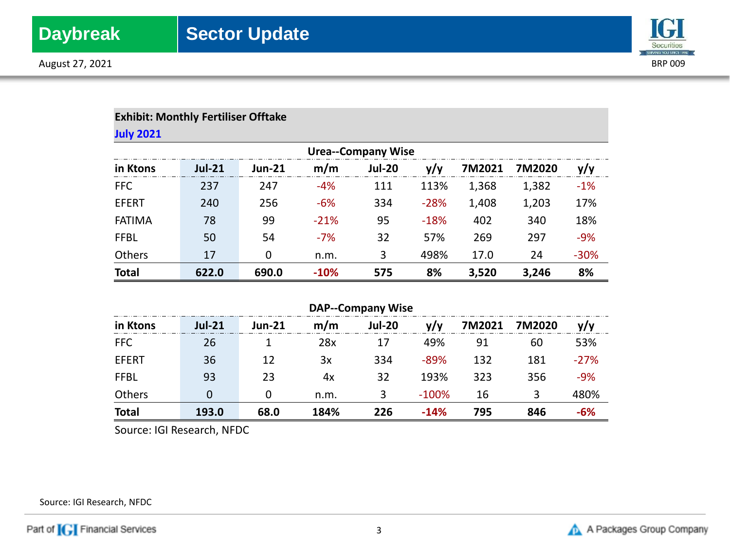



| <b>Exhibit: Monthly Fertiliser Offtake</b> |               |               |        |                           |        |        |        |        |
|--------------------------------------------|---------------|---------------|--------|---------------------------|--------|--------|--------|--------|
| <b>July 2021</b>                           |               |               |        |                           |        |        |        |        |
|                                            |               |               |        | <b>Urea--Company Wise</b> |        |        |        |        |
| in Ktons                                   | <b>Jul-21</b> | <b>Jun-21</b> | m/m    | <b>Jul-20</b>             | y/y    | 7M2021 | 7M2020 | y/y    |
| <b>FFC</b>                                 | 237           | 247           | $-4%$  | 111                       | 113%   | 1,368  | 1,382  | $-1%$  |
| <b>EFERT</b>                               | 240           | 256           | $-6%$  | 334                       | $-28%$ | 1,408  | 1,203  | 17%    |
| <b>FATIMA</b>                              | 78            | 99            | $-21%$ | 95                        | $-18%$ | 402    | 340    | 18%    |
| <b>FFBL</b>                                | 50            | 54            | $-7%$  | 32                        | 57%    | 269    | 297    | $-9%$  |
| Others                                     | 17            | 0             | n.m.   | 3                         | 498%   | 17.0   | 24     | $-30%$ |
| <b>Total</b>                               | 622.0         | 690.0         | $-10%$ | 575                       | 8%     | 3,520  | 3,246  | 8%     |

| <b>DAP--Company Wise</b> |               |               |      |               |         |        |        |        |
|--------------------------|---------------|---------------|------|---------------|---------|--------|--------|--------|
| in Ktons                 | <b>Jul-21</b> | <b>Jun-21</b> | m/m  | <b>Jul-20</b> | y/y     | 7M2021 | 7M2020 | y/y    |
| <b>FFC</b>               | 26            |               | 28x  | 17            | 49%     | 91     | 60     | 53%    |
| <b>EFERT</b>             | 36            | 12            | 3x   | 334           | $-89%$  | 132    | 181    | $-27%$ |
| <b>FFBL</b>              | 93            | 23            | 4x   | 32            | 193%    | 323    | 356    | $-9%$  |
| Others                   | 0             | 0             | n.m. | 3             | $-100%$ | 16     | 3      | 480%   |
| <b>Total</b>             | 193.0         | 68.0          | 184% | 226           | $-14%$  | 795    | 846    | $-6%$  |

Source: IGI Research, NFDC

Source: IGI Research, NFDC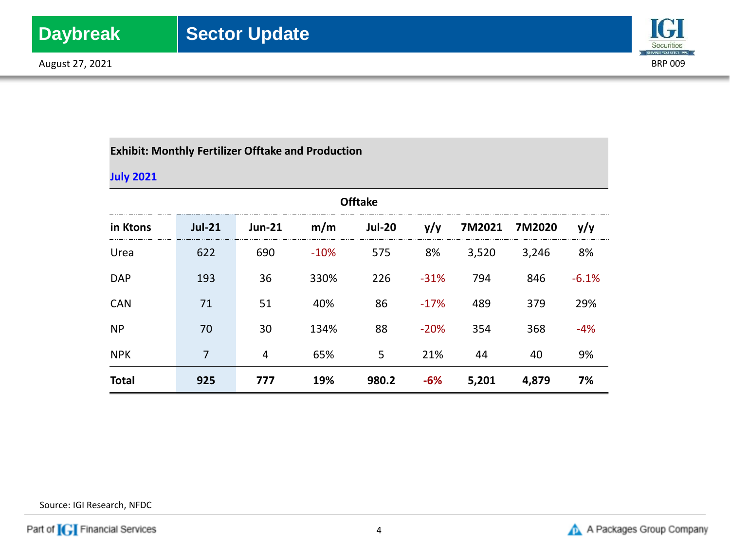

## **Exhibit: Monthly Fertilizer Offtake and Production**

## **July 2021**

| <b>Offtake</b> |                |                |        |               |        |        |        |         |
|----------------|----------------|----------------|--------|---------------|--------|--------|--------|---------|
| in Ktons       | <b>Jul-21</b>  | <b>Jun-21</b>  | m/m    | <b>Jul-20</b> | y/y    | 7M2021 | 7M2020 | y/y     |
| Urea           | 622            | 690            | $-10%$ | 575           | 8%     | 3,520  | 3,246  | 8%      |
| <b>DAP</b>     | 193            | 36             | 330%   | 226           | $-31%$ | 794    | 846    | $-6.1%$ |
| <b>CAN</b>     | 71             | 51             | 40%    | 86            | $-17%$ | 489    | 379    | 29%     |
| <b>NP</b>      | 70             | 30             | 134%   | 88            | $-20%$ | 354    | 368    | $-4%$   |
| <b>NPK</b>     | $\overline{7}$ | $\overline{4}$ | 65%    | 5             | 21%    | 44     | 40     | 9%      |
| <b>Total</b>   | 925            | 777            | 19%    | 980.2         | $-6%$  | 5,201  | 4,879  | 7%      |

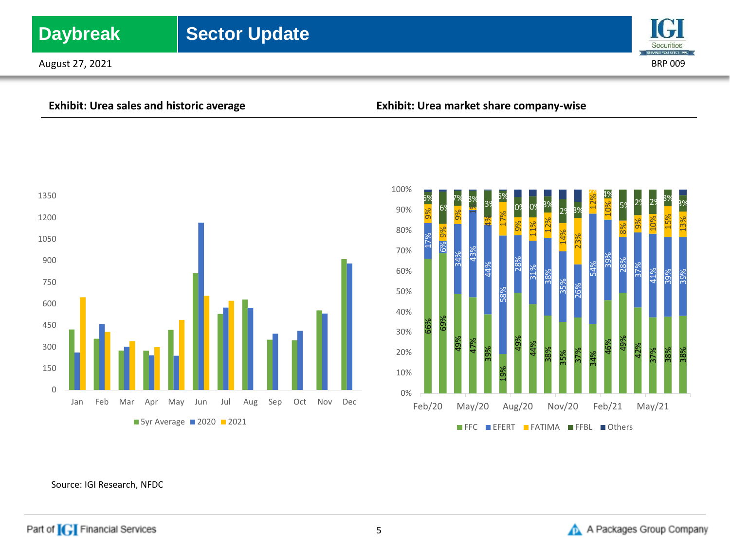# **Daybreak** | Sector Update

August 27, 2021 BRP 009



**Exhibit: Urea sales and historic average Exhibit: Urea market share company-wise**





Source: IGI Research, NFDC

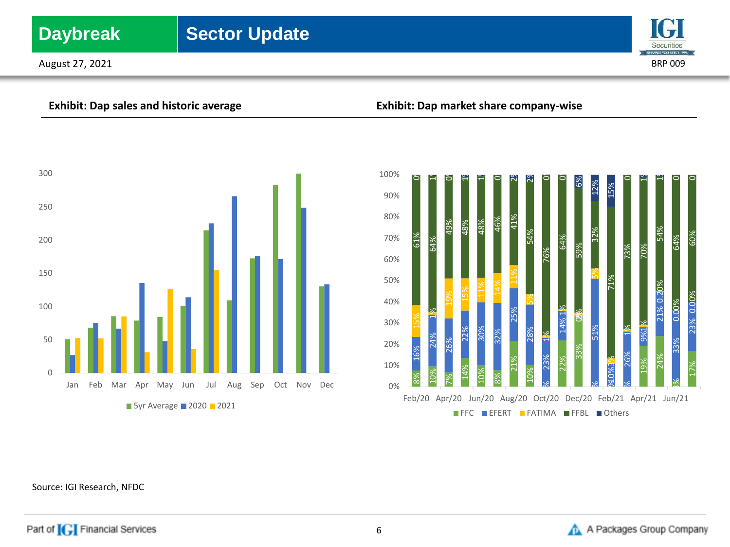# **Daybreak** | Sector Update

August 27, 2021 BRP 009



**Exhibit: Dap sales and historic average Exhibit: Dap market share company-wise**





Source: IGI Research, NFDC

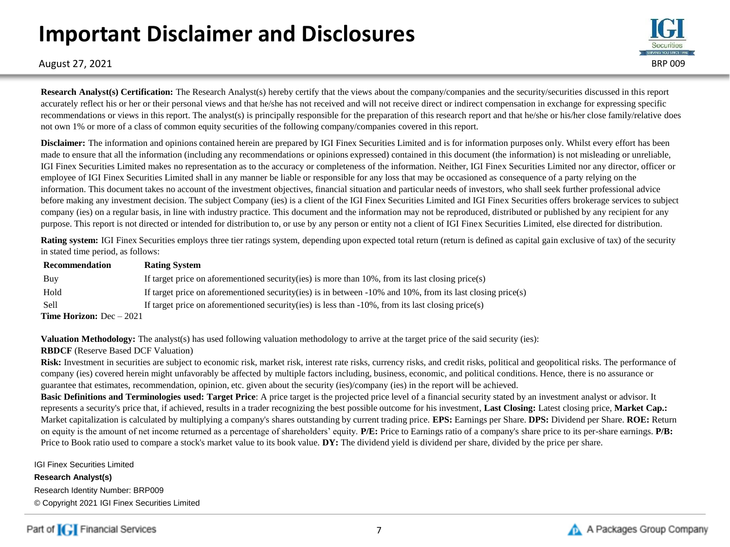# **Important Disclaimer and Disclosures**



August 27, 2021 BRP 009

**Research Analyst(s) Certification:** The Research Analyst(s) hereby certify that the views about the company/companies and the security/securities discussed in this report accurately reflect his or her or their personal views and that he/she has not received and will not receive direct or indirect compensation in exchange for expressing specific recommendations or views in this report. The analyst(s) is principally responsible for the preparation of this research report and that he/she or his/her close family/relative does not own 1% or more of a class of common equity securities of the following company/companies covered in this report.

**Disclaimer:** The information and opinions contained herein are prepared by IGI Finex Securities Limited and is for information purposes only. Whilst every effort has been made to ensure that all the information (including any recommendations or opinions expressed) contained in this document (the information) is not misleading or unreliable, IGI Finex Securities Limited makes no representation as to the accuracy or completeness of the information. Neither, IGI Finex Securities Limited nor any director, officer or employee of IGI Finex Securities Limited shall in any manner be liable or responsible for any loss that may be occasioned as consequence of a party relying on the information. This document takes no account of the investment objectives, financial situation and particular needs of investors, who shall seek further professional advice before making any investment decision. The subject Company (ies) is a client of the IGI Finex Securities Limited and IGI Finex Securities offers brokerage services to subject company (ies) on a regular basis, in line with industry practice. This document and the information may not be reproduced, distributed or published by any recipient for any purpose. This report is not directed or intended for distribution to, or use by any person or entity not a client of IGI Finex Securities Limited, else directed for distribution.

**Rating system:** IGI Finex Securities employs three tier ratings system, depending upon expected total return (return is defined as capital gain exclusive of tax) of the security in stated time period, as follows:

| Recommendation                    | <b>Rating System</b>                                                                                               |
|-----------------------------------|--------------------------------------------------------------------------------------------------------------------|
| Buy                               | If target price on aforementioned security (ies) is more than $10\%$ , from its last closing price (s)             |
| Hold                              | If target price on aforementioned security (ies) is in between $-10\%$ and $10\%$ , from its last closing price(s) |
| <b>Sell</b>                       | If target price on aforementioned security (ies) is less than $-10\%$ , from its last closing price (s)            |
| <b>Time Horizon:</b> $Dec - 2021$ |                                                                                                                    |

**Valuation Methodology:** The analyst(s) has used following valuation methodology to arrive at the target price of the said security (ies):

### **RBDCF** (Reserve Based DCF Valuation)

Risk: Investment in securities are subject to economic risk, market risk, interest rate risks, currency risks, and credit risks, political and geopolitical risks. The performance of company (ies) covered herein might unfavorably be affected by multiple factors including, business, economic, and political conditions. Hence, there is no assurance or guarantee that estimates, recommendation, opinion, etc. given about the security (ies)/company (ies) in the report will be achieved.

**Basic Definitions and Terminologies used: Target Price**: A price target is the projected price level of a financial security stated by an investment analyst or advisor. It represents a security's price that, if achieved, results in a trader recognizing the best possible outcome for his investment, **Last Closing:** Latest closing price, **Market Cap.:**  Market capitalization is calculated by multiplying a company's shares outstanding by current trading price. **EPS:** Earnings per Share. **DPS:** Dividend per Share. **ROE:** Return on equity is the amount of net income returned as a percentage of shareholders' equity. **P/E:** Price to Earnings ratio of a company's share price to its per-share earnings. **P/B:** Price to Book ratio used to compare a stock's market value to its book value. **DY:** The dividend yield is dividend per share, divided by the price per share.

IGI Finex Securities Limited

**Research Analyst(s)** Research Identity Number: BRP009 © Copyright 2021 IGI Finex Securities Limited